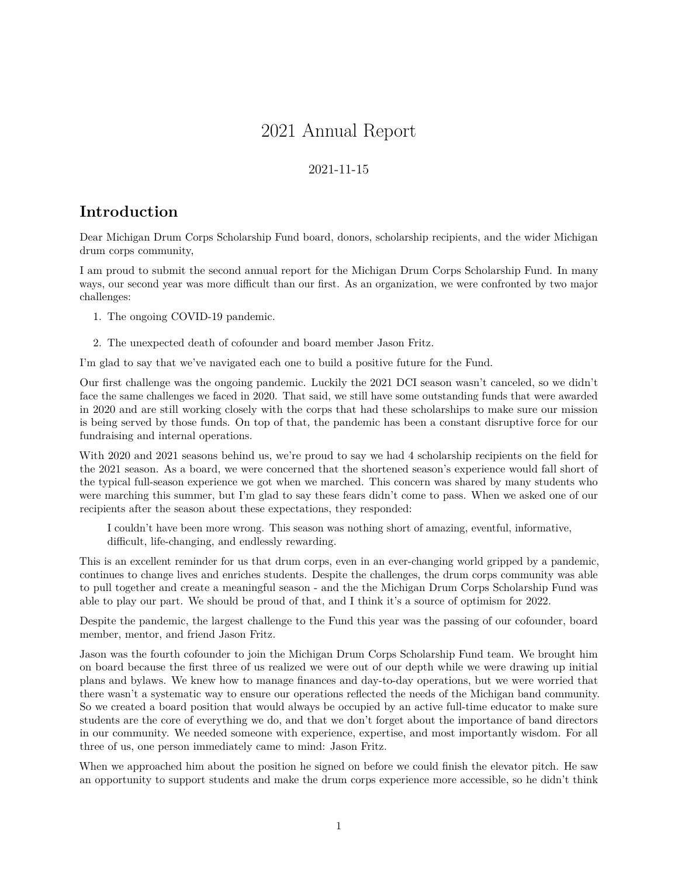# 2021 Annual Report

#### 2021-11-15

#### **Introduction**

Dear Michigan Drum Corps Scholarship Fund board, donors, scholarship recipients, and the wider Michigan drum corps community,

I am proud to submit the second annual report for the Michigan Drum Corps Scholarship Fund. In many ways, our second year was more difficult than our first. As an organization, we were confronted by two major challenges:

- 1. The ongoing COVID-19 pandemic.
- 2. The unexpected death of cofounder and board member Jason Fritz.

I'm glad to say that we've navigated each one to build a positive future for the Fund.

Our first challenge was the ongoing pandemic. Luckily the 2021 DCI season wasn't canceled, so we didn't face [the same challenges we faced in 2020.](https://midrumcorpsfund.org/news/annualReport2020/#responding-to-covid-19) That said, we still have some outstanding funds that were awarded in 2020 and are still working closely with the corps that had these scholarships to make sure our mission is being served by those funds. On top of that, the pandemic has been a constant disruptive force for our fundraising and internal operations.

With 2020 and 2021 seasons behind us, we're proud to say we had 4 scholarship recipients on the field for the 2021 season. As a board, we were concerned that the shortened season's experience would fall short of the typical full-season experience we got when we marched. This concern was shared by many students who were marching this summer, but I'm glad to say these fears didn't come to pass. When we asked one of our recipients after the season about these expectations, they responded:

I couldn't have been more wrong. This season was nothing short of amazing, eventful, informative, difficult, life-changing, and endlessly rewarding.

This is an excellent reminder for us that drum corps, even in an ever-changing world gripped by a pandemic, continues to change lives and enriches students. Despite the challenges, the drum corps community was able to pull together and create a meaningful season - and the the Michigan Drum Corps Scholarship Fund was able to play our part. We should be proud of that, and I think it's a source of optimism for 2022.

Despite the pandemic, the largest challenge to the Fund this year was the passing of our cofounder, board member, mentor, and friend Jason Fritz.

Jason was the fourth cofounder to join the Michigan Drum Corps Scholarship Fund team. We brought him on board because the first three of us realized we were out of our depth while we were drawing up initial plans and bylaws. We knew how to manage finances and day-to-day operations, but we were worried that there wasn't a systematic way to ensure our operations reflected the needs of the Michigan band community. So we created a board position that would always be occupied by an active full-time educator to make sure students are the core of everything we do, and that we don't forget about the importance of band directors in our community. We needed someone with experience, expertise, and most importantly wisdom. For all three of us, one person immediately came to mind: Jason Fritz.

When we approached him about the position he signed on before we could finish the elevator pitch. He saw an opportunity to support students and make the drum corps experience more accessible, so he didn't think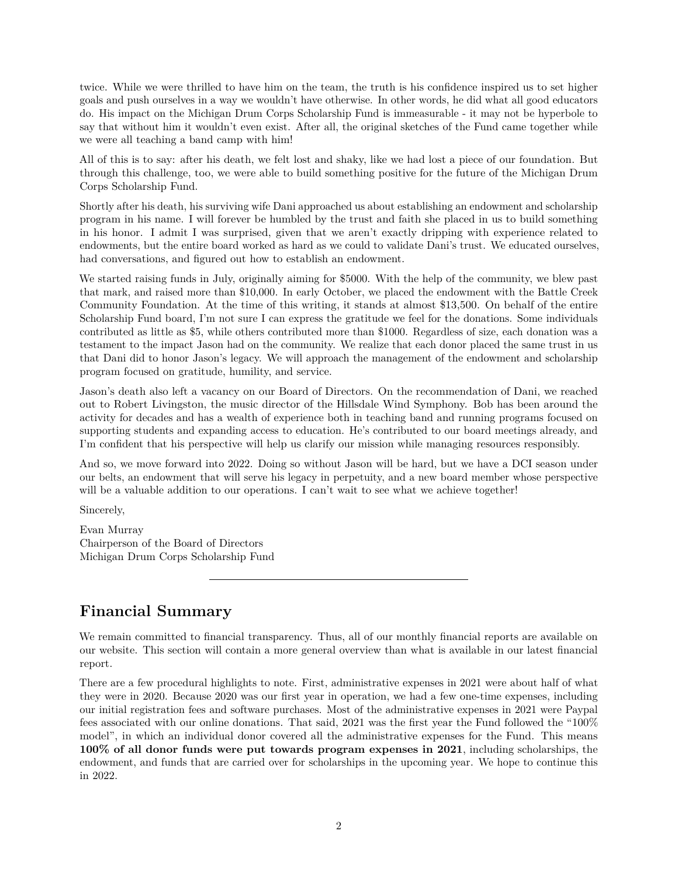twice. While we were thrilled to have him on the team, the truth is his confidence inspired us to set higher goals and push ourselves in a way we wouldn't have otherwise. In other words, he did what all good educators do. His impact on the Michigan Drum Corps Scholarship Fund is immeasurable - it may not be hyperbole to say that without him it wouldn't even exist. After all, the original sketches of the Fund came together while we were all teaching a band camp with him!

All of this is to say: after his death, we felt lost and shaky, like we had lost a piece of our foundation. But through this challenge, too, we were able to build something positive for the future of the Michigan Drum Corps Scholarship Fund.

Shortly after his death, his surviving wife Dani approached us about establishing an endowment and scholarship program in his name. I will forever be humbled by the trust and faith she placed in us to build something in his honor. I admit I was surprised, given that we aren't exactly dripping with experience related to endowments, but the entire board worked as hard as we could to validate Dani's trust. We educated ourselves, had conversations, and figured out how to establish an endowment.

We started raising funds in July, originally aiming for \$5000. With the help of the community, we blew past that mark, and raised more than \$10,000. In early October, we placed the endowment with the [Battle Creek](https://www.bccfoundation.org/) [Community Foundation.](https://www.bccfoundation.org/) At the time of this writing, it stands at almost \$13,500. On behalf of the entire Scholarship Fund board, I'm not sure I can express the gratitude we feel for the donations. Some individuals contributed as little as \$5, while others contributed more than \$1000. Regardless of size, each donation was a testament to the impact Jason had on the community. We realize that each donor placed the same trust in us that Dani did to honor Jason's legacy. We will approach the management of the endowment and scholarship program focused on gratitude, humility, and service.

Jason's death also left a vacancy on our Board of Directors. On the recommendation of Dani, we reached out to Robert Livingston, the music director of the Hillsdale Wind Symphony. Bob has been around the activity for decades and has a wealth of experience both in teaching band and running programs focused on supporting students and expanding access to education. He's contributed to our board meetings already, and I'm confident that his perspective will help us clarify our mission while managing resources responsibly.

And so, we move forward into 2022. Doing so without Jason will be hard, but we have a DCI season under our belts, an endowment that will serve his legacy in perpetuity, and a new board member whose perspective will be a valuable addition to our operations. I can't wait to see what we achieve together!

Sincerely,

Evan Murray Chairperson of the Board of Directors Michigan Drum Corps Scholarship Fund

## **Financial Summary**

We remain committed to financial transparency. Thus, all of our monthly financial reports are available [on](https://midrumcorpsfund.org/reports.html) [our website.](https://midrumcorpsfund.org/reports.html) This section will contain a more general overview than what is available in our latest financial report.

There are a few procedural highlights to note. First, administrative expenses in 2021 were about half of what they were in 2020. Because 2020 was our first year in operation, we had a few one-time expenses, including our initial registration fees and software purchases. Most of the administrative expenses in 2021 were Paypal fees associated with our online donations. That said, 2021 was the first year the Fund followed the "100% model", in which an individual donor covered all the administrative expenses for the Fund. This means **100% of all donor funds were put towards program expenses in 2021**, including scholarships, the endowment, and funds that are carried over for scholarships in the upcoming year. We hope to continue this in 2022.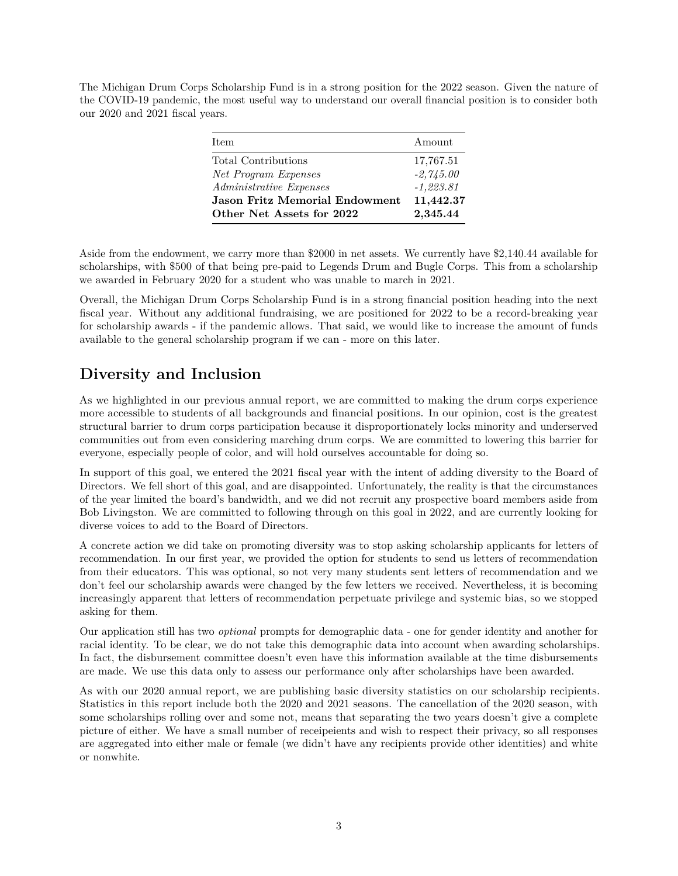The Michigan Drum Corps Scholarship Fund is in a strong position for the 2022 season. Given the nature of the COVID-19 pandemic, the most useful way to understand our overall financial position is to consider both our 2020 and 2021 fiscal years.

| <b>Item</b>                           | Amount      |
|---------------------------------------|-------------|
| Total Contributions                   | 17,767.51   |
| Net Program Expenses                  | $-2,745.00$ |
| <i>Administrative Expenses</i>        | $-1,223.81$ |
| <b>Jason Fritz Memorial Endowment</b> | 11,442.37   |
| Other Net Assets for 2022             | 2,345.44    |

Aside from the endowment, we carry more than \$2000 in net assets. We currently have \$2,140.44 available for scholarships, with \$500 of that being pre-paid to Legends Drum and Bugle Corps. This from a scholarship we awarded in February 2020 for a student who was unable to march in 2021.

Overall, the Michigan Drum Corps Scholarship Fund is in a strong financial position heading into the next fiscal year. Without any additional fundraising, we are positioned for 2022 to be a record-breaking year for scholarship awards - if the pandemic allows. That said, we would like to increase the amount of funds available to the general scholarship program if we can - more on this later.

## **Diversity and Inclusion**

As we highlighted in our previous annual report, we are committed to making the drum corps experience more accessible to students of all backgrounds and financial positions. In our opinion, cost is the greatest structural barrier to drum corps participation because it disproportionately locks minority and underserved communities out from even considering marching drum corps. We are committed to lowering this barrier for everyone, especially people of color, and will hold ourselves accountable for doing so.

In support of this goal, we entered the 2021 fiscal year with the intent of adding diversity to the Board of Directors. We fell short of this goal, and are disappointed. Unfortunately, the reality is that the circumstances of the year limited the board's bandwidth, and we did not recruit any prospective board members aside from Bob Livingston. We are committed to following through on this goal in 2022, and are currently looking for diverse voices to add to the Board of Directors.

A concrete action we did take on promoting diversity was to stop asking scholarship applicants for letters of recommendation. In our first year, we provided the option for students to send us letters of recommendation from their educators. This was optional, so not very many students sent letters of recommendation and we don't feel our scholarship awards were changed by the few letters we received. Nevertheless, [it is becoming](https://www.insidehighered.com/advice/2019/04/10/letters-recommendation-reaffirm-entrenched-systems-bias-and-exclusion-opinion) [increasingly apparent that letters of recommendation perpetuate privilege and systemic bias,](https://www.insidehighered.com/advice/2019/04/10/letters-recommendation-reaffirm-entrenched-systems-bias-and-exclusion-opinion) so we stopped asking for them.

Our application still has two *optional* prompts for demographic data - one for gender identity and another for racial identity. To be clear, we do not take this demographic data into account when awarding scholarships. In fact, the disbursement committee doesn't even have this information available at the time disbursements are made. We use this data only to assess our performance only after scholarships have been awarded.

As with our 2020 annual report, we are publishing basic diversity statistics on our scholarship recipients. Statistics in this report include both the 2020 and 2021 seasons. The cancellation of the 2020 season, with some scholarships rolling over and some not, means that separating the two years doesn't give a complete picture of either. We have a small number of receipeients and wish to respect their privacy, so all responses are aggregated into either male or female (we didn't have any recipients provide other identities) and white or nonwhite.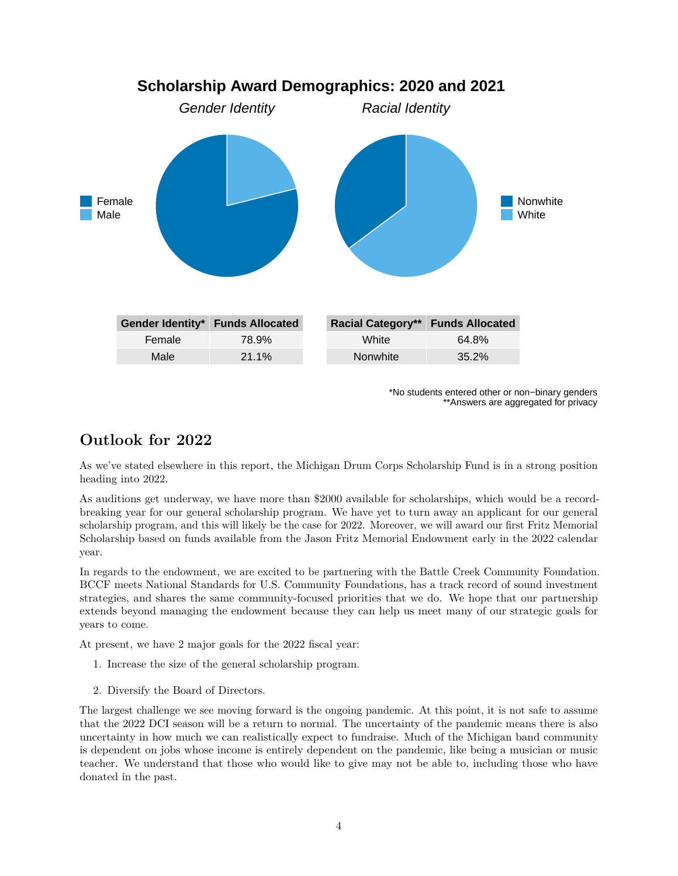

**Scholarship Award Demographics: 2020 and 2021**

\*No students entered other or non−binary genders \*\*Answers are aggregated for privacy

#### **Outlook for 2022**

As we've stated elsewhere in this report, the Michigan Drum Corps Scholarship Fund is in a strong position heading into 2022.

As auditions get underway, we have more than \$2000 available for scholarships, which would be a recordbreaking year for our general scholarship program. We have yet to turn away an applicant for our general scholarship program, and this will likely be the case for 2022. Moreover, we will award our first Fritz Memorial Scholarship based on funds available from the Jason Fritz Memorial Endowment early in the 2022 calendar year.

In regards to the endowment, we are excited to be partnering with the Battle Creek Community Foundation. BCCF meets [National Standards for U.S. Community Foundations,](https://www.cof.org/national-standards-us-community-foundations) has a track record of sound investment strategies, and shares the same community-focused priorities that we do. We hope that our partnership extends beyond managing the endowment because they can help us meet many of our strategic goals for years to come.

At present, we have 2 major goals for the 2022 fiscal year:

- 1. Increase the size of the general scholarship program.
- 2. Diversify the Board of Directors.

The largest challenge we see moving forward is the ongoing pandemic. At this point, it is not safe to assume that the 2022 DCI season will be a return to normal. The uncertainty of the pandemic means there is also uncertainty in how much we can realistically expect to fundraise. Much of the Michigan band community is dependent on jobs whose income is entirely dependent on the pandemic, like being a musician or music teacher. We understand that those who would like to give may not be able to, including those who have donated in the past.